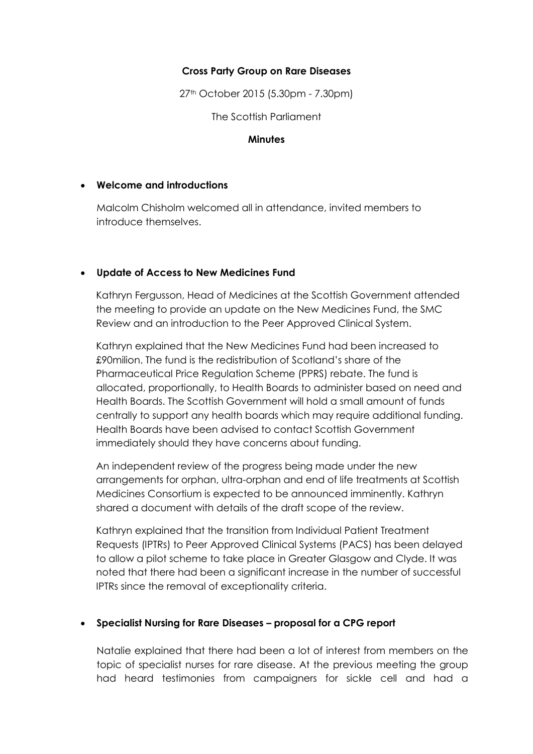## **Cross Party Group on Rare Diseases**

27th October 2015 (5.30pm - 7.30pm)

The Scottish Parliament

#### **Minutes**

#### **Welcome and introductions**

Malcolm Chisholm welcomed all in attendance, invited members to introduce themselves.

### **Update of Access to New Medicines Fund**

Kathryn Fergusson, Head of Medicines at the Scottish Government attended the meeting to provide an update on the New Medicines Fund, the SMC Review and an introduction to the Peer Approved Clinical System.

Kathryn explained that the New Medicines Fund had been increased to £90milion. The fund is the redistribution of Scotland's share of the Pharmaceutical Price Regulation Scheme (PPRS) rebate. The fund is allocated, proportionally, to Health Boards to administer based on need and Health Boards. The Scottish Government will hold a small amount of funds centrally to support any health boards which may require additional funding. Health Boards have been advised to contact Scottish Government immediately should they have concerns about funding.

An independent review of the progress being made under the new arrangements for orphan, ultra-orphan and end of life treatments at Scottish Medicines Consortium is expected to be announced imminently. Kathryn shared a document with details of the draft scope of the review.

Kathryn explained that the transition from Individual Patient Treatment Requests (IPTRs) to Peer Approved Clinical Systems (PACS) has been delayed to allow a pilot scheme to take place in Greater Glasgow and Clyde. It was noted that there had been a significant increase in the number of successful IPTRs since the removal of exceptionality criteria.

# **Specialist Nursing for Rare Diseases – proposal for a CPG report**

Natalie explained that there had been a lot of interest from members on the topic of specialist nurses for rare disease. At the previous meeting the group had heard testimonies from campaigners for sickle cell and had a